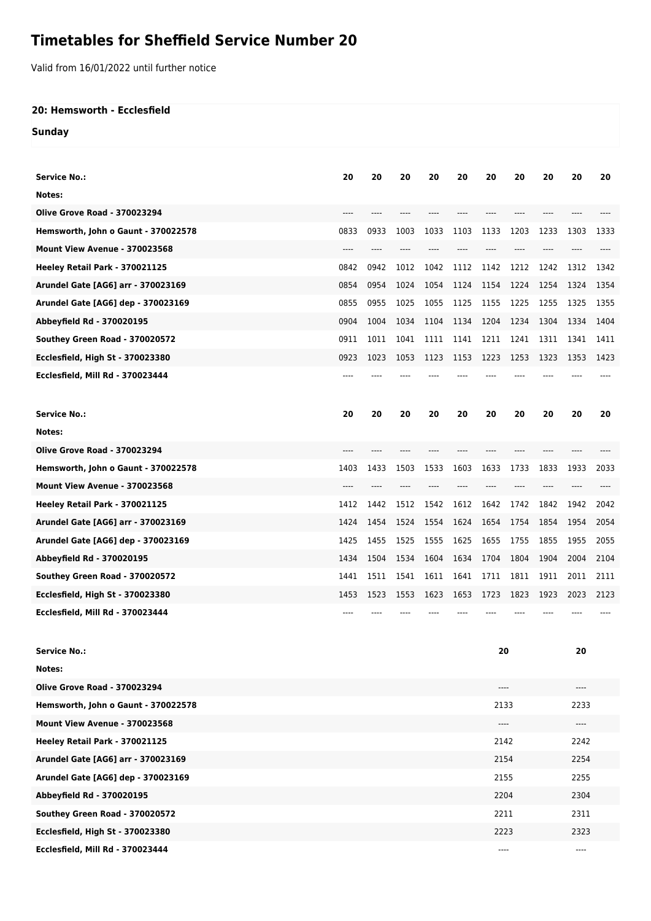## **Timetables for Sheffield Service Number 20**

Valid from 16/01/2022 until further notice

## **20: Hemsworth - Ecclesfield**

**Sunday**

| <b>Service No.:</b>                 | 20   | 20   | 20   | 20   | 20   | 20    | 20   | 20   | 20   | 20   |  |
|-------------------------------------|------|------|------|------|------|-------|------|------|------|------|--|
| Notes:                              |      |      |      |      |      |       |      |      |      |      |  |
| <b>Olive Grove Road - 370023294</b> | ---- | ---- |      | ---- |      | $---$ | ---- | ---- |      |      |  |
| Hemsworth, John o Gaunt - 370022578 | 0833 | 0933 | 1003 | 1033 | 1103 | 1133  | 1203 | 1233 | 1303 | 1333 |  |
| Mount View Avenue - 370023568       | ---- |      |      |      |      |       |      |      |      |      |  |
| Heeley Retail Park - 370021125      | 0842 | 0942 | 1012 | 1042 | 1112 | 1142  | 1212 | 1242 | 1312 | 1342 |  |
| Arundel Gate [AG6] arr - 370023169  |      | 0954 | 1024 |      |      |       |      |      |      | 1354 |  |
|                                     | 0854 |      |      | 1054 | 1124 | 1154  | 1224 | 1254 | 1324 |      |  |
| Arundel Gate [AG6] dep - 370023169  | 0855 | 0955 | 1025 | 1055 | 1125 | 1155  | 1225 | 1255 | 1325 | 1355 |  |
| Abbeyfield Rd - 370020195           | 0904 | 1004 | 1034 | 1104 | 1134 | 1204  | 1234 | 1304 | 1334 | 1404 |  |
| Southey Green Road - 370020572      | 0911 | 1011 | 1041 | 1111 | 1141 | 1211  | 1241 | 1311 | 1341 | 1411 |  |
| Ecclesfield, High St - 370023380    | 0923 | 1023 | 1053 | 1123 | 1153 | 1223  | 1253 | 1323 | 1353 | 1423 |  |
| Ecclesfield, Mill Rd - 370023444    |      |      |      |      |      |       |      |      |      |      |  |
| <b>Service No.:</b>                 | 20   | 20   | 20   | 20   | 20   | 20    | 20   | 20   | 20   | 20   |  |
| Notes:                              |      |      |      |      |      |       |      |      |      |      |  |
| <b>Olive Grove Road - 370023294</b> | ---- |      |      |      |      |       |      |      |      |      |  |
| Hemsworth, John o Gaunt - 370022578 | 1403 | 1433 | 1503 | 1533 | 1603 | 1633  | 1733 | 1833 | 1933 | 2033 |  |
| Mount View Avenue - 370023568       | ---- |      |      |      |      |       |      |      |      |      |  |
| Heeley Retail Park - 370021125      | 1412 | 1442 | 1512 | 1542 | 1612 | 1642  | 1742 | 1842 | 1942 | 2042 |  |
| Arundel Gate [AG6] arr - 370023169  | 1424 | 1454 | 1524 | 1554 | 1624 | 1654  | 1754 | 1854 | 1954 | 2054 |  |
| Arundel Gate [AG6] dep - 370023169  | 1425 | 1455 | 1525 | 1555 | 1625 | 1655  | 1755 | 1855 | 1955 | 2055 |  |
| Abbeyfield Rd - 370020195           | 1434 | 1504 | 1534 | 1604 | 1634 | 1704  | 1804 | 1904 | 2004 | 2104 |  |
| Southey Green Road - 370020572      | 1441 | 1511 | 1541 | 1611 | 1641 | 1711  | 1811 | 1911 | 2011 | 2111 |  |
| Ecclesfield, High St - 370023380    | 1453 | 1523 | 1553 | 1623 | 1653 | 1723  | 1823 | 1923 | 2023 | 2123 |  |
| Ecclesfield, Mill Rd - 370023444    |      |      |      |      |      |       |      |      |      |      |  |
|                                     |      |      |      |      |      |       |      |      |      |      |  |
| <b>Service No.:</b>                 |      |      |      |      | 20   |       |      |      | 20   |      |  |
| Notes:                              |      |      |      |      |      |       |      |      |      |      |  |
| <b>Olive Grove Road - 370023294</b> |      |      |      |      | ---- |       |      | ---- |      |      |  |
| Hemsworth, John o Gaunt - 370022578 |      |      |      |      | 2133 |       |      | 2233 |      |      |  |
| Mount View Avenue - 370023568       |      |      |      |      | ---- |       |      | ---- |      |      |  |
| Heeley Retail Park - 370021125      |      |      |      |      | 2142 |       |      | 2242 |      |      |  |
| Arundel Gate [AG6] arr - 370023169  |      |      |      |      | 2154 |       |      | 2254 |      |      |  |
| Arundel Gate [AG6] dep - 370023169  |      |      |      |      | 2155 |       |      | 2255 |      |      |  |
| Abbeyfield Rd - 370020195           |      |      |      |      | 2204 |       |      | 2304 |      |      |  |
| Southey Green Road - 370020572      |      |      |      |      | 2211 |       |      |      | 2311 |      |  |
| Ecclesfield, High St - 370023380    |      |      |      |      | 2223 |       |      |      | 2323 |      |  |
| Ecclesfield, Mill Rd - 370023444    |      |      |      |      |      | ----  |      |      |      |      |  |